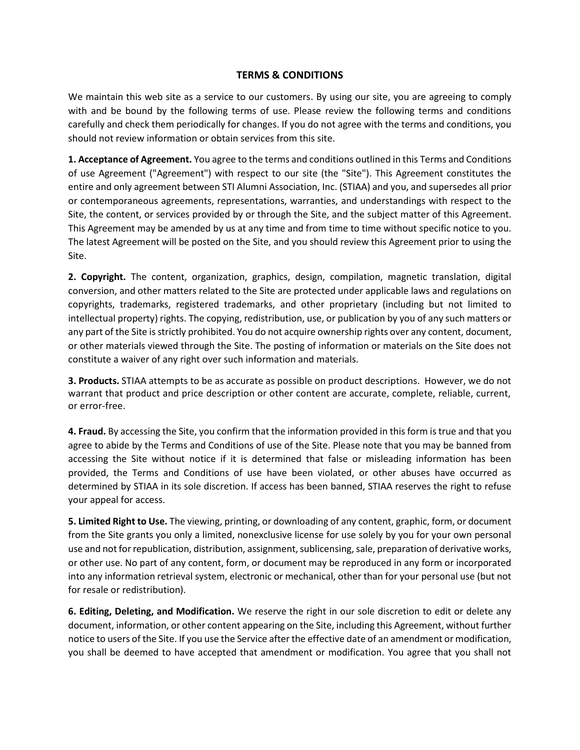## **TERMS & CONDITIONS**

We maintain this web site as a service to our customers. By using our site, you are agreeing to comply with and be bound by the following terms of use. Please review the following terms and conditions carefully and check them periodically for changes. If you do not agree with the terms and conditions, you should not review information or obtain services from this site.

**1. Acceptance of Agreement.** You agree to the terms and conditions outlined in this Terms and Conditions of use Agreement ("Agreement") with respect to our site (the "Site"). This Agreement constitutes the entire and only agreement between STI Alumni Association, Inc. (STIAA) and you, and supersedes all prior or contemporaneous agreements, representations, warranties, and understandings with respect to the Site, the content, or services provided by or through the Site, and the subject matter of this Agreement. This Agreement may be amended by us at any time and from time to time without specific notice to you. The latest Agreement will be posted on the Site, and you should review this Agreement prior to using the Site.

**2. Copyright.** The content, organization, graphics, design, compilation, magnetic translation, digital conversion, and other matters related to the Site are protected under applicable laws and regulations on copyrights, trademarks, registered trademarks, and other proprietary (including but not limited to intellectual property) rights. The copying, redistribution, use, or publication by you of any such matters or any part of the Site is strictly prohibited. You do not acquire ownership rights over any content, document, or other materials viewed through the Site. The posting of information or materials on the Site does not constitute a waiver of any right over such information and materials.

**3. Products.** STIAA attempts to be as accurate as possible on product descriptions. However, we do not warrant that product and price description or other content are accurate, complete, reliable, current, or error-free.

**4. Fraud.** By accessing the Site, you confirm that the information provided in this form is true and that you agree to abide by the Terms and Conditions of use of the Site. Please note that you may be banned from accessing the Site without notice if it is determined that false or misleading information has been provided, the Terms and Conditions of use have been violated, or other abuses have occurred as determined by STIAA in its sole discretion. If access has been banned, STIAA reserves the right to refuse your appeal for access.

**5. Limited Right to Use.** The viewing, printing, or downloading of any content, graphic, form, or document from the Site grants you only a limited, nonexclusive license for use solely by you for your own personal use and not for republication, distribution, assignment, sublicensing, sale, preparation of derivative works, or other use. No part of any content, form, or document may be reproduced in any form or incorporated into any information retrieval system, electronic or mechanical, other than for your personal use (but not for resale or redistribution).

**6. Editing, Deleting, and Modification.** We reserve the right in our sole discretion to edit or delete any document, information, or other content appearing on the Site, including this Agreement, without further notice to users of the Site. If you use the Service after the effective date of an amendment or modification, you shall be deemed to have accepted that amendment or modification. You agree that you shall not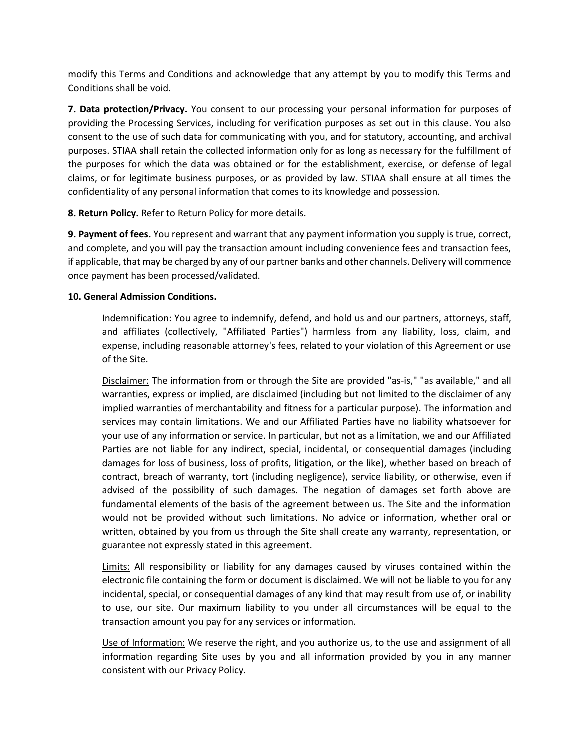modify this Terms and Conditions and acknowledge that any attempt by you to modify this Terms and Conditions shall be void.

**7. Data protection/Privacy.** You consent to our processing your personal information for purposes of providing the Processing Services, including for verification purposes as set out in this clause. You also consent to the use of such data for communicating with you, and for statutory, accounting, and archival purposes. STIAA shall retain the collected information only for as long as necessary for the fulfillment of the purposes for which the data was obtained or for the establishment, exercise, or defense of legal claims, or for legitimate business purposes, or as provided by law. STIAA shall ensure at all times the confidentiality of any personal information that comes to its knowledge and possession.

**8. Return Policy.** Refer to Return Policy for more details.

**9. Payment of fees.** You represent and warrant that any payment information you supply is true, correct, and complete, and you will pay the transaction amount including convenience fees and transaction fees, if applicable, that may be charged by any of our partner banks and other channels. Delivery will commence once payment has been processed/validated.

## **10. General Admission Conditions.**

Indemnification: You agree to indemnify, defend, and hold us and our partners, attorneys, staff, and affiliates (collectively, "Affiliated Parties") harmless from any liability, loss, claim, and expense, including reasonable attorney's fees, related to your violation of this Agreement or use of the Site.

Disclaimer: The information from or through the Site are provided "as-is," "as available," and all warranties, express or implied, are disclaimed (including but not limited to the disclaimer of any implied warranties of merchantability and fitness for a particular purpose). The information and services may contain limitations. We and our Affiliated Parties have no liability whatsoever for your use of any information or service. In particular, but not as a limitation, we and our Affiliated Parties are not liable for any indirect, special, incidental, or consequential damages (including damages for loss of business, loss of profits, litigation, or the like), whether based on breach of contract, breach of warranty, tort (including negligence), service liability, or otherwise, even if advised of the possibility of such damages. The negation of damages set forth above are fundamental elements of the basis of the agreement between us. The Site and the information would not be provided without such limitations. No advice or information, whether oral or written, obtained by you from us through the Site shall create any warranty, representation, or guarantee not expressly stated in this agreement.

Limits: All responsibility or liability for any damages caused by viruses contained within the electronic file containing the form or document is disclaimed. We will not be liable to you for any incidental, special, or consequential damages of any kind that may result from use of, or inability to use, our site. Our maximum liability to you under all circumstances will be equal to the transaction amount you pay for any services or information.

Use of Information: We reserve the right, and you authorize us, to the use and assignment of all information regarding Site uses by you and all information provided by you in any manner consistent with our Privacy Policy.